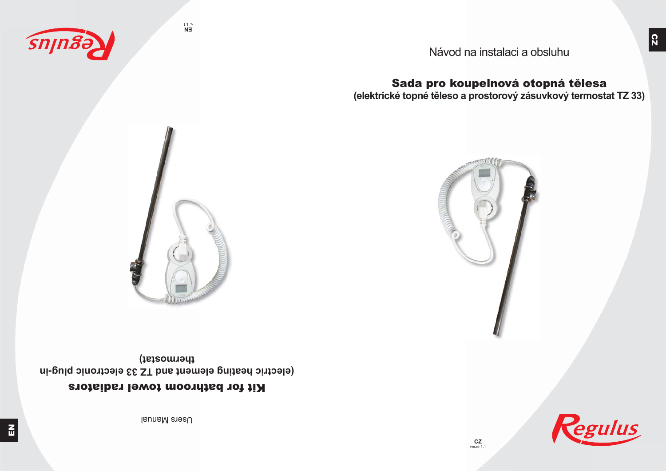Users Manual

# Kit for bathroom towel radiators

**(electric heating element and TZ 33 electronic plug-in thermostat)**



**EN** v. 1.1



Sada pro koupelnová otopná tělesa **(elektrické topné těleso a prostorový zásuvkový termostat TZ 33)**

Návod na instalaci a obsluhu

sniuge



egulus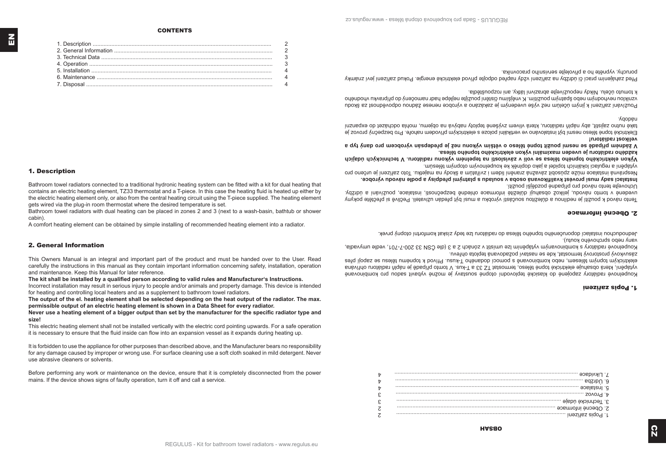### $\overline{b}$ e experience and a construction of the construction of the construction of the construction of the construction of the construction of the construction of the construction of the construction of the construction of the con  $\overline{v}$  $\overline{v}$  $\mathcal{E}$  $\mathcal{E}$  $\overline{c}$  $\cdots$   $\cdots$   $\cdots$   $\cdots$  $\overline{z}$

**HASBO** 

# Inexities and of International

elektrickym topnym telesem, nebo kombinované s pomoci dodaného I-kusu. Přivod k topnému tělesu se zapoji přes vytapění, která obsahuje elektrické topné těleso, termostat IZ 33 a I-kus. V tomo připadě je nájlň radiatoru ohřívana Koupelnové radiátory zapojené do klasické teplovodní otopné soustavy je možné vybavit sadou pro kombinované

kolpelnové radiátory s kombinovanym vytápěním lze umístit v zónách 2 a 3 (dle CSN 33 200-7-701, vedle umyvadla, Zasuvkovy prostorovy termostat, kde se nastavi pozadovana teplota ohrevu.

Jednoduchou instalaci doporuceneho topneho telesa do radiatoru lze tedy ziskat komfortni otopny prvek. Asul uspo abicuoveuo konin).

## **S. Ubeche Intormace**

nizione regionale pove un periodicionale portanti uvedenė v tomto navodu, jelikoz obsahuji duležitė informace ohlednė bezpečnosti, instalace, použivani a udržby. Tepro usivod k bonziri je peglipo s dnjestion zoncegil vyropku a mugli byl predan uzivateli. Pećijive si prečiete pokyny

respravna instalace muse zpusobit zavasta zraneni lidem i zviratnih a skody na majetku. Ioto zariseni je urceno pro Instalaci sady musi provest ryalifikovana osoba v souladu s platnymi predpisy a podle navodu vyrobce.

Výkon elektrického topného tasa se voli v závislosti na tepelném výkonu radiátoru. V technických údajích vytapeni a regulaci lokalnich topidel a jako doplnek ke koupelnovym otopnym telesum.

każdęno radiatoru je uveden maximalni vykon elektrického topneho telesa.

**Velikost radiatoru!** V zadnem pripade se nesmi pouzit topne teleso o vetsim vykonu nez je predepsan vyrobcem pro dany typ a

yaopen. take nutno zajistit, aby napin radiatoru, ktera viivem zvysene teploty napydya na objemn mohla odczen do expanzni FIRKtricke tobue teleso usam pvt instalovano ve vertikalni polose s elektrickými privodem nanore. Pro pezpecny provoz je

k tomuto ucelu. Nikay nepouzivejte aprazivni latky, ani rozpoustegia. LONSINSULS SULTER IN A LORD WAS DRAGED AND DE SEXUSTER SHASSER OF A LODG USING STOLOGIC ODDO A SUSSING STOOD S

porucny, vypnete no a privolejte servisnino pracovnika. Hred zanajenim praci ci udrzoy na zarizeni vzdy napred odpojte privod elektricke energie. Pokud zarizeni jevi znamky

# 1. Description

Bathroom towel radiators connected to a traditional hydronic heating system can be fitted with a kit for dual heating that contains an electric heating element. TZ33 thermostat and a T-piece. In this case the heating fluid is heated up either by the electric heating element only, or also from the central heating circuit using the T-piece supplied. The heating element gets wired via the plug-in room thermostat where the desired temperature is set.

Bathroom towel radiators with dual heating can be placed in zones 2 and 3 (next to a wash-basin, bathtub or shower cabin)

A comfort heating element can be obtained by simple installing of recommended heating element into a radiator.

# 2. General Information

This Owners Manual is an integral and important part of the product and must be handed over to the User Read carefully the instructions in this manual as they contain important information concerning safety, installation, operation and maintenance. Keep this Manual for later reference.

The kit shall be installed by a qualified person according to valid rules and Manufacturer's Instructions.

Incorrect installation may result in serious injury to people and/or animals and property damage. This device is intended

for heating and controlling local heaters and as a supplement to bathroom towel radiators.

The output of the el. heating element shall be selected depending on the heat output of the radiator. The max.

permissible output of an electric heating element is shown in a Data Sheet for every radiator. Never use a heating element of a bigger output than set by the manufacturer for the specific radiator type and

size!

This electric heating element shall not be installed vertically with the electric cord pointing upwards. For a safe operation it is necessary to ensure that the fluid inside can flow into an expansion vessel as it expands during heating up.

It is forbidden to use the appliance for other purposes than described above, and the Manufacturer bears no responsibility for any damage caused by improper or wrong use. For surface cleaning use a soft cloth soaked in mild detergent. Never use abrasive cleaners or solvents.

Before performing any work or maintenance on the device, ensure that it is completely disconnected from the power mains. If the device shows signs of faulty operation, turn it off and call a service.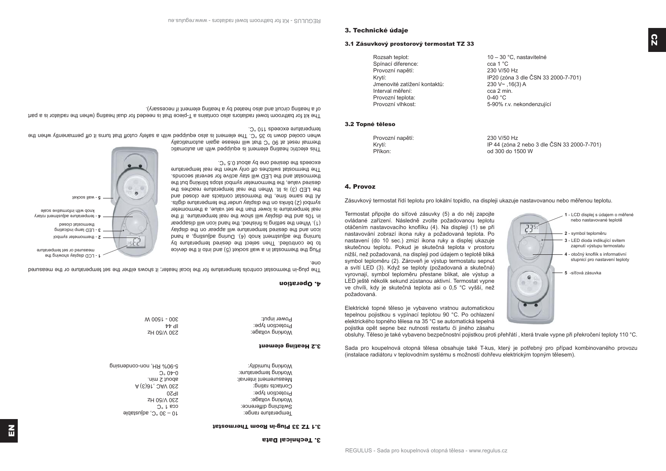3.1 TZ 33 Plug-in Room Thermostat

| 9-80% RH, non-condensing | Working humidity:     |
|--------------------------|-----------------------|
| $0.0 + 0$                | Working temperature:  |
| about 2 min.             | Measurement interval: |
| A (E) a 1, DAV 0 ES      | Contacts rating:      |
| 0ZdI                     | Protection type:      |
| <b>S30 V/50 Hz</b>       | Working voltage:      |
| $O_6$ L BOO              | Switching difference: |
| $-30$ or $-9$ of $-9$    | lemperature range:    |

|                         | 3.2 Heating element |
|-------------------------|---------------------|
| 330 A/QO H <sup>Z</sup> | working voltage:    |
| 117 44                  | Protection type:    |
| WUUJI UUG               |                     |

| Power input:     | 300 - 1200 M |
|------------------|--------------|
| Protection type: | ᆎᆐ           |
| могкіпд voitage: | ZH UGIV USS  |

Power input: 300 - 1500 W

Protection type:  $\frac{1}{2}$  Protection type:

4. Operation The plug-in thermostat controls temperature for the local heater; it shows either the set temperature or the measured one. Plug the thermostat in a wall socket (5) and into it the device to be controlled. Then select the desired temperature by

turning the adjustment word (+). But a hand a hand a hand a hand a hand a hand a hand a hand a hand a icon and the desired temperature will appear on the display (1). When the setting is phanon the hand icon will disappear in 10s and the display will show the real temperature. If the real temperature is lower than the set value, a thermometer stigib suuts on the display under the temperature digits. At the same time, the thermostat contacts are closed and the LED (3) is lit. When the real temperature reaches the desired value, the thermometer symbol stops blinking but the thermostat and the LED will stay active for several seconds. The thermostat switches off only when the real temperature



This electric heating element is equipped with an automatic thermal reset at 90 °C that will release again automatically when cooled down to 35 °C. The element is also equipped with a basis to turns it and that when the turn that the

exceeds the desired one by about 0.5 °C.

temperature exceeds 110 °C.

The kit for bathroom towel radiators also that that is needed for dual heating (when the radiator is need to that  $\frac{1}{2}$ of a heating circuit and also heated by a heating element if necessary).

obsluhy. Těleso je také vybaveno bezpečnostní pojistkou proti přehřátí , která trvale vypne při překročení teploty 110 °C.

Sada pro koupelnová otopná tělesa obsahuje také T-kus, který je potřebný pro případ kombinovaného provozu (instalace radiátoru v teplovodním systému s možností dohřevu elektrickým topným tělesem).

tepelnou pojistkou s vypínací teplotou 90 °C. Po ochlazení elektrického topného tělesa na 35 °C se automatická tepelná pojistka opět sepne bez nutnosti restartu či jiného zásahu

symbol teploměru (2). Zároveň je výstup termostatu sepnut a svítí LED (3). Když se teploty (požadovaná a skutečná) vyrovnají, symbol teploměru přestane blikat, ale výstup a LED ještě několik sekund zůstanou aktivní. Termostat vypne ve chvíli, kdy je skutečná teplota asi o 0,5 °C vyšší, než požadovaná. Elektrické topné těleso je vybaveno vratnou automatickou

skutečnou teplotu. Pokud je skutečná teplota v prostoru nižší, než požadovaná, na displeji pod údajem o teplotě bliká

ovládané zařízení. Následně zvolte požadovanou teplotu otáčením nastavovacího knoflíku (4). Na displeji (1) se při nastavování zobrazí ikona ruky a požadovaná teplota. Po nastavení (do 10 sec.) zmizí ikona ruky a displej ukazuje

Termostat připojte do síťové zásuvky (5) a do něj zapojte

Zásuvkový termostat řídí teplotu pro lokální topidlo, na displeji ukazuje nastavovanou nebo měřenou teplotu.



 Provozní napětí: 230 V/50 Hz Krytí: IP 44 (zóna 2 nebo 3 dle ČSN 33 2000-7-701) Příkon: od 300 do 1500 W

# 3.2 Topné těleso

4. Provoz

| Rozsah teplot:               | 10 - 30 °C, nastavitelné            |
|------------------------------|-------------------------------------|
| Spínací diference:           | cca 1 °C                            |
| Provozní napětí:             | 230 V/50 Hz                         |
| Krytí:                       | IP20 (zóna 3 dle ČSN 33 2000-7-701) |
| Jmenovité zatížení kontaktů: | $230 V - 16(3) A$                   |
| Interval měření:             | cca 2 min.                          |
| Provozní teplota:            | $0-40$ °C                           |
| Provozní vlhkost:            | 5-90% r.v. nekondenzující           |

# 3. Technické údaje czystali zásuvkový prostorový termostat TZ 33<br>December 2008 – 2009 prostorový termostat TZ 33